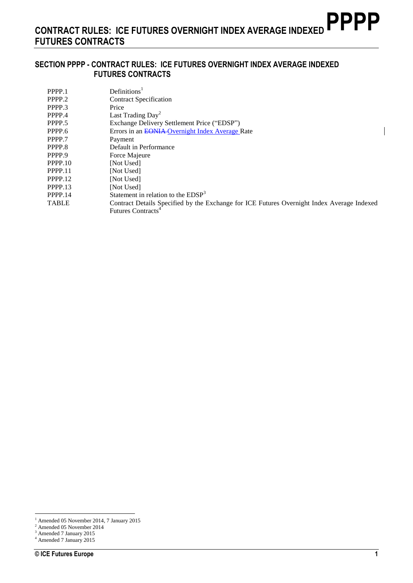### **SECTION PPPP - CONTRACT RULES: ICE FUTURES OVERNIGHT INDEX AVERAGE INDEXED FUTURES CONTRACTS**

| PPPP.1       | Definition <sup>1</sup>                                                                    |
|--------------|--------------------------------------------------------------------------------------------|
| PPPP.2       | <b>Contract Specification</b>                                                              |
| PPPP.3       | Price                                                                                      |
| PPPP.4       | Last Trading Day <sup>2</sup>                                                              |
| PPPP.5       | Exchange Delivery Settlement Price ("EDSP")                                                |
| PPPP.6       | Errors in an EONIA Overnight Index Average Rate                                            |
| PPPP.7       | Payment                                                                                    |
| PPPP.8       | Default in Performance                                                                     |
| PPPP.9       | Force Majeure                                                                              |
| PPPP.10      | [Not Used]                                                                                 |
| PPPP.11      | [Not Used]                                                                                 |
| PPPP.12      | [Not Used]                                                                                 |
| PPPP.13      | [Not Used]                                                                                 |
| PPPP.14      | Statement in relation to the $EDSP3$                                                       |
| <b>TABLE</b> | Contract Details Specified by the Exchange for ICE Futures Overnight Index Average Indexed |
|              | Futures Contracts <sup>4</sup>                                                             |

 $\overline{a}$ 

 $\overline{\phantom{a}}$ 

<sup>&</sup>lt;sup>1</sup> Amended 05 November 2014, 7 January 2015

<sup>2</sup> Amended 05 November 2014

<sup>&</sup>lt;sup>3</sup> Amended 7 January 2015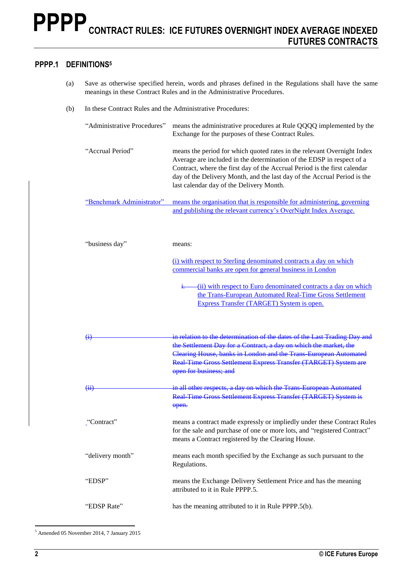### **PPPP.1 DEFINITIONS<sup>5</sup>**

- (a) Save as otherwise specified herein, words and phrases defined in the Regulations shall have the same meanings in these Contract Rules and in the Administrative Procedures.
- (b) In these Contract Rules and the Administrative Procedures:

| "Administrative Procedures"           | means the administrative procedures at Rule QQQQ implemented by the<br>Exchange for the purposes of these Contract Rules.                                                                                                                                                                                                                             |
|---------------------------------------|-------------------------------------------------------------------------------------------------------------------------------------------------------------------------------------------------------------------------------------------------------------------------------------------------------------------------------------------------------|
| "Accrual Period"                      | means the period for which quoted rates in the relevant Overnight Index<br>Average are included in the determination of the EDSP in respect of a<br>Contract, where the first day of the Accrual Period is the first calendar<br>day of the Delivery Month, and the last day of the Accrual Period is the<br>last calendar day of the Delivery Month. |
| "Benchmark Administrator"             | means the organisation that is responsible for administering, governing<br>and publishing the relevant currency's OverNight Index Average.                                                                                                                                                                                                            |
| "business day"                        | means:                                                                                                                                                                                                                                                                                                                                                |
|                                       | (i) with respect to Sterling denominated contracts a day on which                                                                                                                                                                                                                                                                                     |
|                                       | commercial banks are open for general business in London                                                                                                                                                                                                                                                                                              |
|                                       | (ii) with respect to Euro denominated contracts a day on which<br>$\ddagger$<br>the Trans-European Automated Real-Time Gross Settlement<br>Express Transfer (TARGET) System is open.                                                                                                                                                                  |
| $\left( \mathrm{_{4}}\right)$         | in relation to the determination of the dates of the Last Trading Day and<br>the Settlement Day for a Contract, a day on which the market, the                                                                                                                                                                                                        |
|                                       | Clearing House, banks in London and the Trans European Automated<br>Real Time Gross Settlement Express Transfer (TARGET) System are<br>open for business; and                                                                                                                                                                                         |
| $\left( \overline{\mathbf{H}}\right)$ | in all other respects, a day on which the Trans European Automated<br>Real Time Gross Settlement Express Transfer (TARGET) System is<br>open.                                                                                                                                                                                                         |
| "Contract"                            | means a contract made expressly or impliedly under these Contract Rules<br>for the sale and purchase of one or more lots, and "registered Contract"<br>means a Contract registered by the Clearing House.                                                                                                                                             |
| "delivery month"                      | means each month specified by the Exchange as such pursuant to the<br>Regulations.                                                                                                                                                                                                                                                                    |
| "EDSP"                                | means the Exchange Delivery Settlement Price and has the meaning<br>attributed to it in Rule PPPP.5.                                                                                                                                                                                                                                                  |
| "EDSP Rate"                           | has the meaning attributed to it in Rule PPPP.5(b).                                                                                                                                                                                                                                                                                                   |

<sup>5</sup> Amended 05 November 2014, 7 January 2015

 $\overline{a}$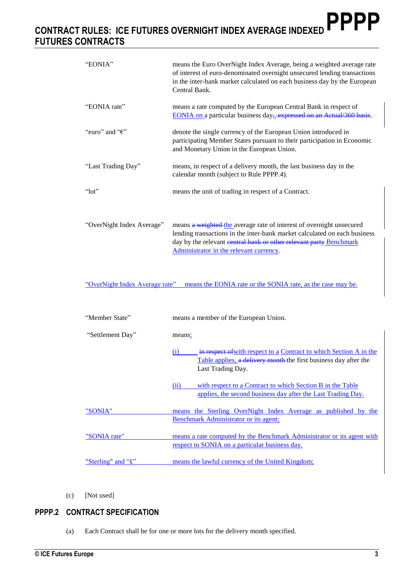| "EONIA"                   | means the Euro OverNight Index Average, being a weighted average rate<br>of interest of euro-denominated overnight unsecured lending transactions<br>in the inter-bank market calculated on each business day by the European<br>Central Bank.                     |
|---------------------------|--------------------------------------------------------------------------------------------------------------------------------------------------------------------------------------------------------------------------------------------------------------------|
| "EONIA rate"              | means a rate computed by the European Central Bank in respect of<br>EONIA on a particular business day <sub>5</sub> expressed on an Actual/360 basis.                                                                                                              |
| "euro" and " $\epsilon$ " | denote the single currency of the European Union introduced in<br>participating Member States pursuant to their participation in Economic<br>and Monetary Union in the European Union.                                                                             |
| "Last Trading Day"        | means, in respect of a delivery month, the last business day in the<br>calendar month (subject to Rule PPPP.4).                                                                                                                                                    |
| " $10t$ "                 | means the unit of trading in respect of a Contract.                                                                                                                                                                                                                |
| "OverNight Index Average" | means a weighted the average rate of interest of overnight unsecured<br>lending transactions in the inter-bank market calculated on each business<br>day by the relevant central bank or other relevant party Benchmark<br>Administrator in the relevant currency. |

"OverNight Index Average rate" means the EONIA rate or the SONIA rate, as the case may be.

| "Member State"     | means a member of the European Union.                                                                                                                              |
|--------------------|--------------------------------------------------------------------------------------------------------------------------------------------------------------------|
| "Settlement Day"   | means:                                                                                                                                                             |
|                    | in respect of with respect to a Contract to which Section A in the<br>(1)<br>Table applies, a delivery month the first business day after the<br>Last Trading Day. |
|                    | with respect to a Contract to which Section B in the Table<br>(ii)<br>applies, the second business day after the Last Trading Day.                                 |
| "SONIA"            | means the Sterling OverNight Index Average as published by the                                                                                                     |
|                    | Benchmark Administrator or its agent;                                                                                                                              |
| "SONIA rate"       | means a rate computed by the Benchmark Administrator or its agent with                                                                                             |
|                    | respect to SONIA on a particular business day.                                                                                                                     |
| "Sterling" and "£" | means the lawful currency of the United Kingdom;                                                                                                                   |

(c) [Not used]

# **PPPP.2 CONTRACT SPECIFICATION**

(a) Each Contract shall be for one or more lots for the delivery month specified.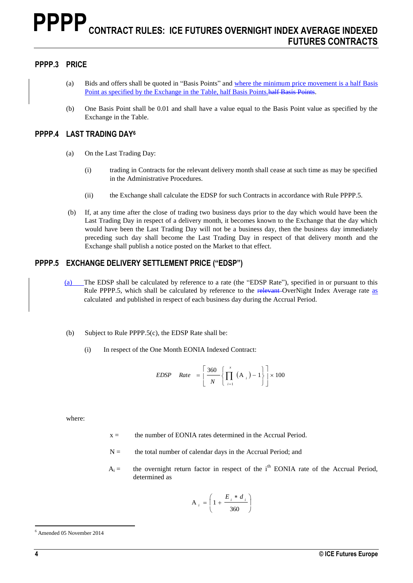### **PPPP.3 PRICE**

- (a) Bids and offers shall be quoted in "Basis Points" and where the minimum price movement is a half Basis Point as specified by the Exchange in the Table, half Basis Points.half Basis Points.
- (b) One Basis Point shall be 0.01 and shall have a value equal to the Basis Point value as specified by the Exchange in the Table.

### **PPPP.4 LAST TRADING DAY<sup>6</sup>**

- (a) On the Last Trading Day:
	- (i) trading in Contracts for the relevant delivery month shall cease at such time as may be specified in the Administrative Procedures.
	- (ii) the Exchange shall calculate the EDSP for such Contracts in accordance with Rule PPPP.5.
- (b) If, at any time after the close of trading two business days prior to the day which would have been the Last Trading Day in respect of a delivery month, it becomes known to the Exchange that the day which would have been the Last Trading Day will not be a business day, then the business day immediately preceding such day shall become the Last Trading Day in respect of that delivery month and the Exchange shall publish a notice posted on the Market to that effect.

### **PPPP.5 EXCHANGE DELIVERY SETTLEMENT PRICE ("EDSP")**

- (a) The EDSP shall be calculated by reference to a rate (the "EDSP Rate"), specified in or pursuant to this Rule PPPP.5, which shall be calculated by reference to the relevant-OverNight Index Average rate as calculated and published in respect of each business day during the Accrual Period.
- (b) Subject to Rule PPPP.5(c), the EDSP Rate shall be:
	- (i) In respect of the One Month EONIA Indexed Contract:

$$
EDSP \quad Rate = \left[\frac{360}{N} \left\{ \prod_{i=1}^{x} \left(A_{i}\right) - 1 \right\} \right] \times 100
$$

where:

- $x =$  the number of EONIA rates determined in the Accrual Period.
- $N =$  the total number of calendar days in the Accrual Period; and
- $A_i =$  the overnight return factor in respect of the i<sup>th</sup> EONIA rate of the Accrual Period, determined as

$$
A_i = \left(1 + \frac{E_i * d_i}{360}\right)
$$

 $\overline{a}$ 

<sup>6</sup> Amended 05 November 2014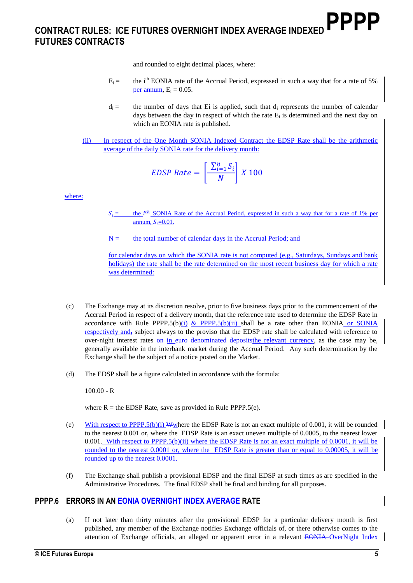and rounded to eight decimal places, where:

- $E_i =$  the i<sup>th</sup> EONIA rate of the Accrual Period, expressed in such a way that for a rate of 5% per annum,  $E_i = 0.05$ .
- $d_i =$  the number of days that Ei is applied, such that  $d_i$  represents the number of calendar days between the day in respect of which the rate  $E_i$  is determined and the next day on which an EONIA rate is published.
- (ii) In respect of the One Month SONIA Indexed Contract the EDSP Rate shall be the arithmetic average of the daily SONIA rate for the delivery month:

$$
EDSP Rate = \left[\frac{\sum_{i=1}^{n} S_i}{N}\right] X 100
$$

where:

 $S_i =$  the *i*<sup>th</sup> SONIA Rate of the Accrual Period, expressed in such a way that for a rate of 1% per annum,  $S_i=0.01$ .

 $N =$  the total number of calendar days in the Accrual Period; and

for calendar days on which the SONIA rate is not computed (e.g., Saturdays, Sundays and bank holidays) the rate shall be the rate determined on the most recent business day for which a rate was determined:

- (c) The Exchange may at its discretion resolve, prior to five business days prior to the commencement of the Accrual Period in respect of a delivery month, that the reference rate used to determine the EDSP Rate in accordance with Rule PPPP.5(b)(i) & PPPP.5(b)(ii) shall be a rate other than EONIA or SONIA respectively and, subject always to the proviso that the EDSP rate shall be calculated with reference to over-night interest rates on in euro denominated deposits the relevant currency, as the case may be, generally available in the interbank market during the Accrual Period. Any such determination by the Exchange shall be the subject of a notice posted on the Market.
- (d) The EDSP shall be a figure calculated in accordance with the formula:

100.00 - R

where  $R =$  the EDSP Rate, save as provided in Rule PPPP.5(e).

- (e) With respect to PPPP.5(b)(i) W where the EDSP Rate is not an exact multiple of 0.001, it will be rounded to the nearest 0.001 or, where the EDSP Rate is an exact uneven multiple of 0.0005, to the nearest lower 0.001. With respect to PPPP.5(b)(ii) where the EDSP Rate is not an exact multiple of 0.0001, it will be rounded to the nearest 0.0001 or, where the EDSP Rate is greater than or equal to 0.00005, it will be rounded up to the nearest 0.0001.
- (f) The Exchange shall publish a provisional EDSP and the final EDSP at such times as are specified in the Administrative Procedures. The final EDSP shall be final and binding for all purposes.

#### **PPPP.6 ERRORS IN AN EONIA OVERNIGHT INDEX AVERAGE RATE**

(a) If not later than thirty minutes after the provisional EDSP for a particular delivery month is first published, any member of the Exchange notifies Exchange officials of, or there otherwise comes to the attention of Exchange officials, an alleged or apparent error in a relevant EONIA OverNight Index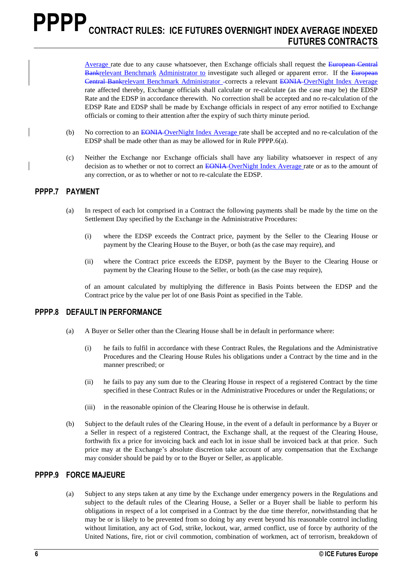Average rate due to any cause whatsoever, then Exchange officials shall request the European Central Bankrelevant Benchmark Administrator to investigate such alleged or apparent error. If the European Central Bankrelevant Benchmark Administrator corrects a relevant EONIA OverNight Index Average rate affected thereby, Exchange officials shall calculate or re-calculate (as the case may be) the EDSP Rate and the EDSP in accordance therewith. No correction shall be accepted and no re-calculation of the EDSP Rate and EDSP shall be made by Exchange officials in respect of any error notified to Exchange officials or coming to their attention after the expiry of such thirty minute period.

- (b) No correction to an EONIA OverNight Index Average rate shall be accepted and no re-calculation of the EDSP shall be made other than as may be allowed for in Rule PPPP.6(a).
- (c) Neither the Exchange nor Exchange officials shall have any liability whatsoever in respect of any decision as to whether or not to correct an EONIA-OverNight Index Average rate or as to the amount of any correction, or as to whether or not to re-calculate the EDSP.

#### **PPPP.7 PAYMENT**

- (a) In respect of each lot comprised in a Contract the following payments shall be made by the time on the Settlement Day specified by the Exchange in the Administrative Procedures:
	- (i) where the EDSP exceeds the Contract price, payment by the Seller to the Clearing House or payment by the Clearing House to the Buyer, or both (as the case may require), and
	- (ii) where the Contract price exceeds the EDSP, payment by the Buyer to the Clearing House or payment by the Clearing House to the Seller, or both (as the case may require),

of an amount calculated by multiplying the difference in Basis Points between the EDSP and the Contract price by the value per lot of one Basis Point as specified in the Table.

#### **PPPP.8 DEFAULT IN PERFORMANCE**

- (a) A Buyer or Seller other than the Clearing House shall be in default in performance where:
	- (i) he fails to fulfil in accordance with these Contract Rules, the Regulations and the Administrative Procedures and the Clearing House Rules his obligations under a Contract by the time and in the manner prescribed; or
	- (ii) he fails to pay any sum due to the Clearing House in respect of a registered Contract by the time specified in these Contract Rules or in the Administrative Procedures or under the Regulations; or
	- (iii) in the reasonable opinion of the Clearing House he is otherwise in default.
- (b) Subject to the default rules of the Clearing House, in the event of a default in performance by a Buyer or a Seller in respect of a registered Contract, the Exchange shall, at the request of the Clearing House, forthwith fix a price for invoicing back and each lot in issue shall be invoiced back at that price. Such price may at the Exchange's absolute discretion take account of any compensation that the Exchange may consider should be paid by or to the Buyer or Seller, as applicable.

#### **PPPP.9 FORCE MAJEURE**

(a) Subject to any steps taken at any time by the Exchange under emergency powers in the Regulations and subject to the default rules of the Clearing House, a Seller or a Buyer shall be liable to perform his obligations in respect of a lot comprised in a Contract by the due time therefor, notwithstanding that he may be or is likely to be prevented from so doing by any event beyond his reasonable control including without limitation, any act of God, strike, lockout, war, armed conflict, use of force by authority of the United Nations, fire, riot or civil commotion, combination of workmen, act of terrorism, breakdown of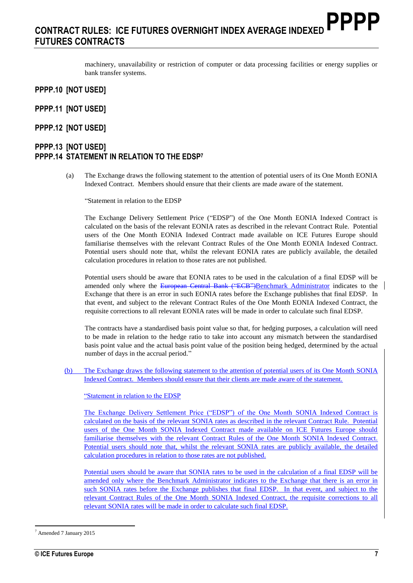machinery, unavailability or restriction of computer or data processing facilities or energy supplies or bank transfer systems.

#### **PPPP.10 [NOT USED]**

- **PPPP.11 [NOT USED]**
- **PPPP.12 [NOT USED]**

### **PPPP.13 [NOT USED] PPPP.14 STATEMENT IN RELATION TO THE EDSP<sup>7</sup>**

(a) The Exchange draws the following statement to the attention of potential users of its One Month EONIA Indexed Contract. Members should ensure that their clients are made aware of the statement.

"Statement in relation to the EDSP

The Exchange Delivery Settlement Price ("EDSP") of the One Month EONIA Indexed Contract is calculated on the basis of the relevant EONIA rates as described in the relevant Contract Rule. Potential users of the One Month EONIA Indexed Contract made available on ICE Futures Europe should familiarise themselves with the relevant Contract Rules of the One Month EONIA Indexed Contract. Potential users should note that, whilst the relevant EONIA rates are publicly available, the detailed calculation procedures in relation to those rates are not published.

Potential users should be aware that EONIA rates to be used in the calculation of a final EDSP will be amended only where the European Central Bank ("ECB")Benchmark Administrator indicates to the Exchange that there is an error in such EONIA rates before the Exchange publishes that final EDSP. In that event, and subject to the relevant Contract Rules of the One Month EONIA Indexed Contract, the requisite corrections to all relevant EONIA rates will be made in order to calculate such final EDSP.

The contracts have a standardised basis point value so that, for hedging purposes, a calculation will need to be made in relation to the hedge ratio to take into account any mismatch between the standardised basis point value and the actual basis point value of the position being hedged, determined by the actual number of days in the accrual period."

(b) The Exchange draws the following statement to the attention of potential users of its One Month SONIA Indexed Contract. Members should ensure that their clients are made aware of the statement.

"Statement in relation to the EDSP

The Exchange Delivery Settlement Price ("EDSP") of the One Month SONIA Indexed Contract is calculated on the basis of the relevant SONIA rates as described in the relevant Contract Rule. Potential users of the One Month SONIA Indexed Contract made available on ICE Futures Europe should familiarise themselves with the relevant Contract Rules of the One Month SONIA Indexed Contract. Potential users should note that, whilst the relevant SONIA rates are publicly available, the detailed calculation procedures in relation to those rates are not published.

Potential users should be aware that SONIA rates to be used in the calculation of a final EDSP will be amended only where the Benchmark Administrator indicates to the Exchange that there is an error in such SONIA rates before the Exchange publishes that final EDSP. In that event, and subject to the relevant Contract Rules of the One Month SONIA Indexed Contract, the requisite corrections to all relevant SONIA rates will be made in order to calculate such final EDSP.

 $\overline{a}$ <sup>7</sup> Amended 7 January 2015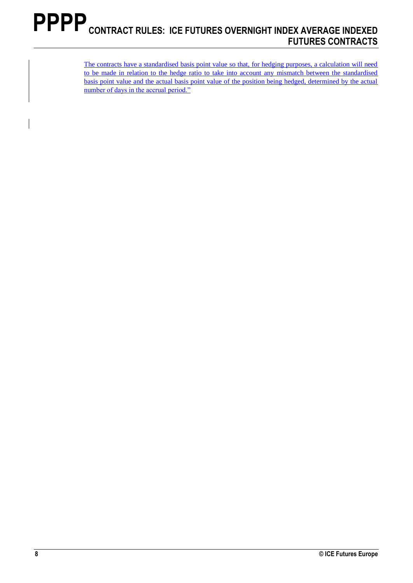The contracts have a standardised basis point value so that, for hedging purposes, a calculation will need to be made in relation to the hedge ratio to take into account any mismatch between the standardised basis point value and the actual basis point value of the position being hedged, determined by the actual number of days in the accrual period."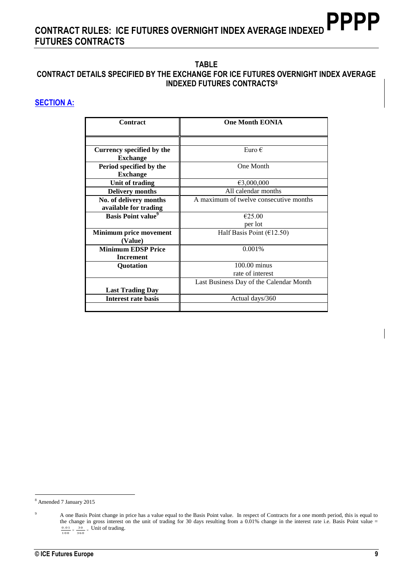## **TABLE**

# **CONTRACT DETAILS SPECIFIED BY THE EXCHANGE FOR ICE FUTURES OVERNIGHT INDEX AVERAGE INDEXED FUTURES CONTRACTS<sup>8</sup>**

# **SECTION A:**

| Contract                              | <b>One Month EONIA</b>                  |
|---------------------------------------|-----------------------------------------|
|                                       |                                         |
| Currency specified by the             | Euro $\epsilon$                         |
| <b>Exchange</b>                       |                                         |
| Period specified by the               | One Month                               |
| <b>Exchange</b>                       |                                         |
| Unit of trading                       | €3,000,000                              |
| <b>Delivery months</b>                | All calendar months                     |
| No. of delivery months                | A maximum of twelve consecutive months  |
| available for trading                 |                                         |
| <b>Basis Point value</b> <sup>9</sup> | €25.00                                  |
|                                       | per lot                                 |
| <b>Minimum price movement</b>         | Half Basis Point ( $E$ 12.50)           |
| (Value)                               |                                         |
| <b>Minimum EDSP Price</b>             | 0.001%                                  |
| <b>Increment</b>                      |                                         |
| Quotation                             | 100.00 minus                            |
|                                       | rate of interest                        |
|                                       | Last Business Day of the Calendar Month |
| <b>Last Trading Day</b>               |                                         |
| <b>Interest rate basis</b>            | Actual days/360                         |
|                                       |                                         |

 $\overline{a}$ <sup>8</sup> Amended 7 January 2015

<sup>&</sup>lt;sup>9</sup> A one Basis Point change in price has a value equal to the Basis Point value. In respect of Contracts for a one month period, this is equal to the change in gross interest on the unit of trading for 30 days resulting from a 0.01% change in the interest rate i.e. Basis Point value =  $\frac{0.01}{8} \times \frac{30}{8}$  Unit of trading. 100 30 360  $\frac{.01}{\cdot} \times \frac{.30}{\cdot} \times$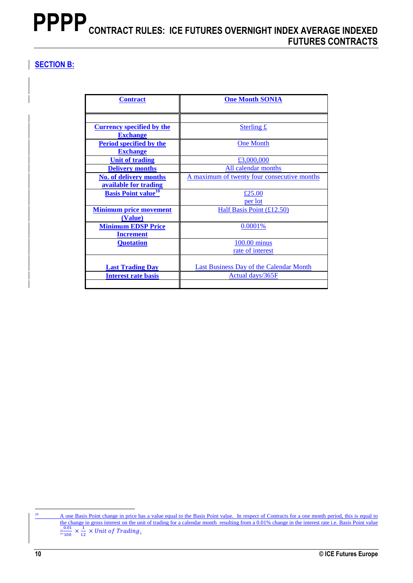# **SECTION B:**

| <b>Contract</b>                        | <b>One Month SONIA</b>                         |
|----------------------------------------|------------------------------------------------|
|                                        |                                                |
|                                        |                                                |
|                                        |                                                |
| <b>Currency specified by the</b>       | Sterling £                                     |
| <b>Exchange</b>                        |                                                |
| <b>Period specified by the</b>         | <b>One Month</b>                               |
| <b>Exchange</b>                        |                                                |
| <b>Unit of trading</b>                 | £3,000,000                                     |
| <b>Delivery months</b>                 | All calendar months                            |
| <b>No. of delivery months</b>          | A maximum of twenty four consecutive months    |
| available for trading                  |                                                |
| <b>Basis Point value</b> <sup>10</sup> | £25.00                                         |
|                                        | per lot                                        |
| <b>Minimum price movement</b>          | Half Basis Point (£12.50)                      |
| (Value)                                |                                                |
| <b>Minimum EDSP Price</b>              | 0.0001%                                        |
| <b>Increment</b>                       |                                                |
| <b>Quotation</b>                       | 100.00 minus                                   |
|                                        | rate of interest                               |
|                                        |                                                |
| <b>Last Trading Day</b>                | <b>Last Business Day of the Calendar Month</b> |
| <b>Interest rate basis</b>             | Actual days/365F                               |
|                                        |                                                |

<sup>10</sup> A one Basis Point change in price has a value equal to the Basis Point value. In respect of Contracts for a one month period, this is equal to the change in gross interest on the unit of trading for a calendar month resulting from a 0.01% change in the interest rate i.e. Basis Point value  $\frac{0.01}{2.00}$  $\frac{0.01}{100} \times \frac{1}{12}$  $\frac{1}{12}$  × Unit of Trading.

 $10$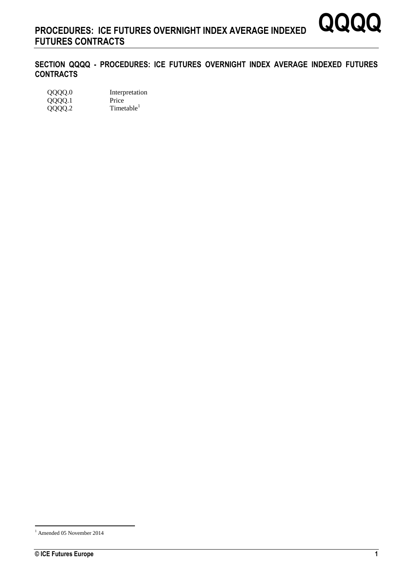**SECTION QQQQ - PROCEDURES: ICE FUTURES OVERNIGHT INDEX AVERAGE INDEXED FUTURES CONTRACTS**

| QQQQ.0 | Interpretation         |
|--------|------------------------|
| QQQQ.1 | Price                  |
| QQQQ.2 | Timetable <sup>1</sup> |

 $\overline{a}$ 

**QQQQ**

<sup>1</sup> Amended 05 November 2014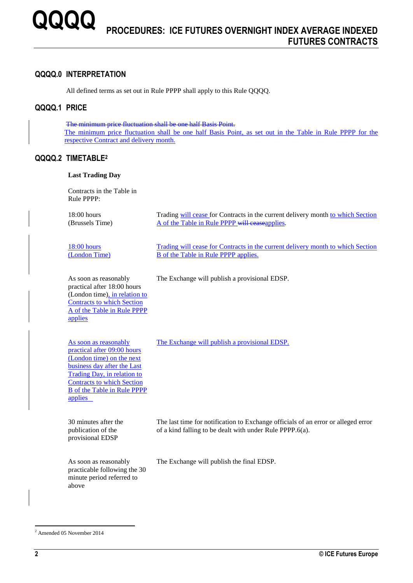#### **QQQQ.0 INTERPRETATION**

All defined terms as set out in Rule PPPP shall apply to this Rule QQQQ.

### **QQQQ.1 PRICE**

The minimum price fluctuation shall be one half Basis Point. The minimum price fluctuation shall be one half Basis Point, as set out in the Table in Rule PPPP for the respective Contract and delivery month.

#### **QQQQ.2 TIMETABLE<sup>2</sup>**

#### **Last Trading Day**

Contracts in the Table in Rule PPPP:

18:00 hours (Brussels Time) Trading will cease for Contracts in the current delivery month to which Section A of the Table in Rule PPPP will ceaseapplies.

18:00 hours (London Time)

Trading will cease for Contracts in the current delivery month to which Section

The last time for notification to Exchange officials of an error or alleged error

As soon as reasonably practical after 18:00 hours (London time), in relation to Contracts to which Section A of the Table in Rule PPPP applies

The Exchange will publish a provisional EDSP.

B of the Table in Rule PPPP applies.

As soon as reasonably practical after 09:00 hours (London time) on the next business day after the Last Trading Day, in relation to Contracts to which Section B of the Table in Rule PPPP applies

The Exchange will publish a provisional EDSP.

30 minutes after the publication of the provisional EDSP

As soon as reasonably practicable following the 30 minute period referred to above

The Exchange will publish the final EDSP.

of a kind falling to be dealt with under Rule PPPP.6(a).

 $\overline{a}$ 

<sup>2</sup> Amended 05 November 2014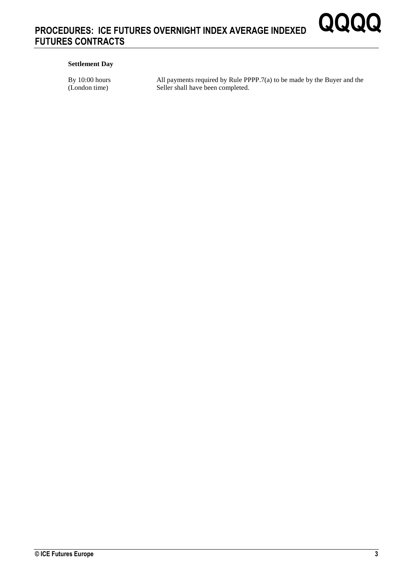#### **Settlement Day**

By 10:00 hours (London time)

All payments required by Rule PPPP.7(a) to be made by the Buyer and the Seller shall have been completed.